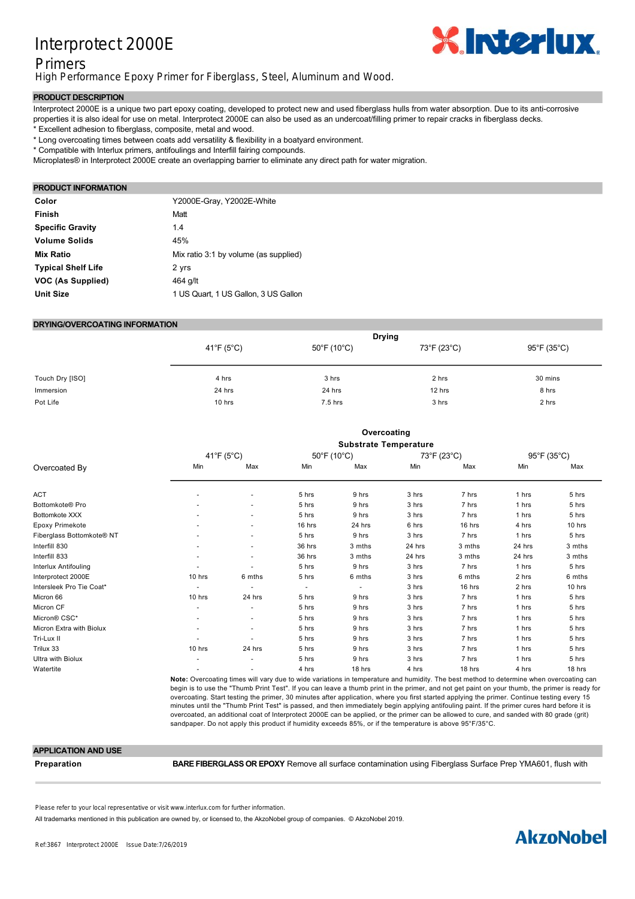## Interprotect 2000E



## Primers

High Performance Epoxy Primer for Fiberglass, Steel, Aluminum and Wood.

#### **PRODUCT DESCRIPTION**

Interprotect 2000E is a unique two part epoxy coating, developed to protect new and used fiberglass hulls from water absorption. Due to its anti-corrosive properties it is also ideal for use on metal. Interprotect 2000E can also be used as an undercoat/filling primer to repair cracks in fiberglass decks. \* Excellent adhesion to fiberglass, composite, metal and wood.

\* Long overcoating times between coats add versatility & flexibility in a boatyard environment.

\* Compatible with Interlux primers, antifoulings and Interfill fairing compounds.

Microplates® in Interprotect 2000E create an overlapping barrier to eliminate any direct path for water migration.

#### **PRODUCT INFORMATION**

| Color                     | Y2000E-Gray, Y2002E-White             |
|---------------------------|---------------------------------------|
| Finish                    | Matt                                  |
| <b>Specific Gravity</b>   | 1.4                                   |
| <b>Volume Solids</b>      | 45%                                   |
| <b>Mix Ratio</b>          | Mix ratio 3:1 by volume (as supplied) |
| <b>Typical Shelf Life</b> | 2 yrs                                 |
| VOC (As Supplied)         | 464 g/lt                              |
| <b>Unit Size</b>          | 1 US Quart, 1 US Gallon, 3 US Gallon  |

#### **DRYING/OVERCOATING INFORMATION**

|                 | <b>Drying</b> |                                  |             |                                  |
|-----------------|---------------|----------------------------------|-------------|----------------------------------|
|                 | 41°F (5°C)    | $50^{\circ}$ F (10 $^{\circ}$ C) | 73°F (23°C) | $95^{\circ}$ F (35 $^{\circ}$ C) |
| Touch Dry [ISO] | 4 hrs         | 3 hrs                            | 2 hrs       | 30 mins                          |
| Immersion       | 24 hrs        | 24 hrs                           | 12 hrs      | 8 hrs                            |
| Pot Life        | 10 hrs        | $7.5$ hrs                        | 3 hrs       | 2 hrs                            |

|                           |                              |                |                          | Overcoating |        |             |        |             |
|---------------------------|------------------------------|----------------|--------------------------|-------------|--------|-------------|--------|-------------|
|                           | <b>Substrate Temperature</b> |                |                          |             |        |             |        |             |
|                           | 41°F (5°C)                   |                |                          | 50°F (10°C) |        | 73°F (23°C) |        | 95°F (35°C) |
| Overcoated By             | Min                          | Max            | Min                      | Max         | Min    | Max         | Min    | Max         |
| <b>ACT</b>                |                              | ٠              | 5 hrs                    | 9 hrs       | 3 hrs  | 7 hrs       | 1 hrs  | 5 hrs       |
| Bottomkote® Pro           |                              | ٠              | 5 hrs                    | 9 hrs       | 3 hrs  | 7 hrs       | 1 hrs  | 5 hrs       |
| Bottomkote XXX            |                              | ٠              | 5 hrs                    | 9 hrs       | 3 hrs  | 7 hrs       | 1 hrs  | 5 hrs       |
| Epoxy Primekote           |                              | ٠              | 16 hrs                   | 24 hrs      | 6 hrs  | 16 hrs      | 4 hrs  | 10 hrs      |
| Fiberglass Bottomkote® NT |                              | ٠              | 5 hrs                    | 9 hrs       | 3 hrs  | 7 hrs       | 1 hrs  | 5 hrs       |
| Interfill 830             |                              | ٠              | 36 hrs                   | 3 mths      | 24 hrs | 3 mths      | 24 hrs | 3 mths      |
| Interfill 833             |                              | ٠              | 36 hrs                   | 3 mths      | 24 hrs | 3 mths      | 24 hrs | 3 mths      |
| Interlux Antifouling      |                              |                | 5 hrs                    | 9 hrs       | 3 hrs  | 7 hrs       | 1 hrs  | 5 hrs       |
| Interprotect 2000E        | 10 hrs                       | 6 mths         | 5 hrs                    | 6 mths      | 3 hrs  | 6 mths      | 2 hrs  | 6 mths      |
| Intersleek Pro Tie Coat*  |                              | $\blacksquare$ | $\overline{\phantom{a}}$ | $\sim$      | 3 hrs  | 16 hrs      | 2 hrs  | 10 hrs      |
| Micron 66                 | 10 hrs                       | 24 hrs         | 5 hrs                    | 9 hrs       | 3 hrs  | 7 hrs       | 1 hrs  | 5 hrs       |
| Micron CF                 |                              | ٠              | 5 hrs                    | 9 hrs       | 3 hrs  | 7 hrs       | 1 hrs  | 5 hrs       |
| Micron® CSC*              |                              | ٠              | 5 hrs                    | 9 hrs       | 3 hrs  | 7 hrs       | 1 hrs  | 5 hrs       |
| Micron Extra with Biolux  |                              | ٠              | 5 hrs                    | 9 hrs       | 3 hrs  | 7 hrs       | 1 hrs  | 5 hrs       |
| Tri-Lux II                |                              |                | 5 hrs                    | 9 hrs       | 3 hrs  | 7 hrs       | 1 hrs  | 5 hrs       |
| Trilux 33                 | 10 hrs                       | 24 hrs         | 5 hrs                    | 9 hrs       | 3 hrs  | 7 hrs       | 1 hrs  | 5 hrs       |
| Ultra with Biolux         |                              | ٠              | 5 hrs                    | 9 hrs       | 3 hrs  | 7 hrs       | 1 hrs  | 5 hrs       |
| Watertite                 |                              | ٠              | 4 hrs                    | 18 hrs      | 4 hrs  | 18 hrs      | 4 hrs  | 18 hrs      |
|                           |                              |                |                          |             |        |             |        |             |

**Note:** Overcoating times will vary due to wide variations in temperature and humidity. The best method to determine when overcoating can begin is to use the "Thumb Print Test". If you can leave a thumb print in the primer, and not get paint on your thumb, the primer is ready for overcoating. Start testing the primer, 30 minutes after application, where you first started applying the primer. Continue testing every 15 minutes until the "Thumb Print Test" is passed, and then immediately begin applying antifouling paint. If the primer cures hard before it is overcoated, an additional coat of Interprotect 2000E can be applied, or the primer can be allowed to cure, and sanded with 80 grade (grit) sandpaper. Do not apply this product if humidity exceeds 85%, or if the temperature is above 95°F/35°C.

#### **APPLICATION AND USE**

**Preparation BARE FIBERGLASS OR EPOXY** Remove all surface contamination using Fiberglass Surface Prep YMA601, flush with

Please refer to your local representative or visit www.interlux.com for further information.

202.

All trademarks mentioned in this publication are owned by, or licensed to, the AkzoNobel group of companies. © AkzoNobel 2019.

## surface profile of 23 mils (5075 microns). Remove sanding residue and immediately apply a coat of Interprotect 2000E, **ALUMINUM** Degrease by wiping with a rag soaked in Fiberglass Solvent Wash 202. Grit blast, grind with a 36 grit disc,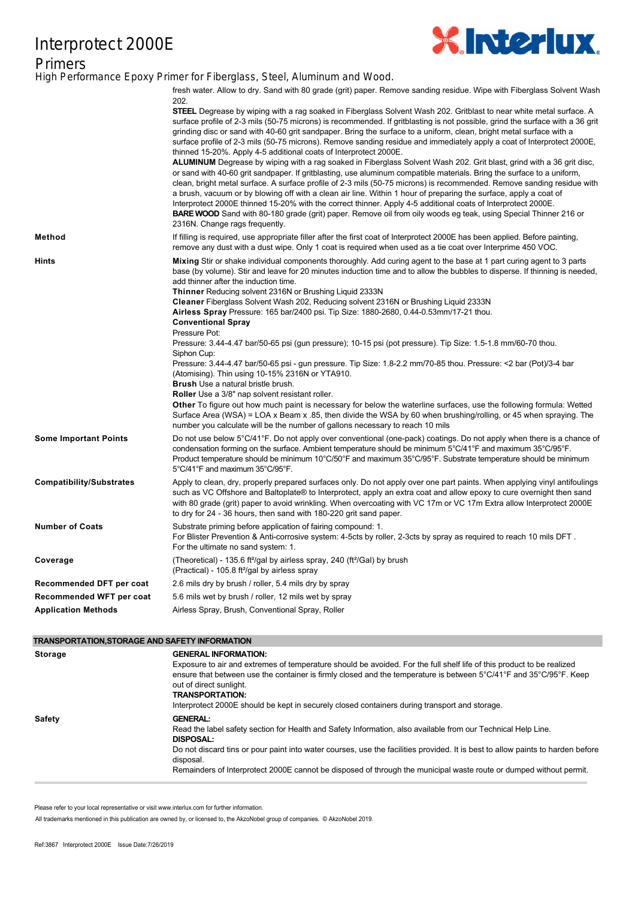# Interprotect 2000E



**Primers** High Performance Epoxy Primer for Fiberglass, Steel, Aluminum and Wood.

|                                 | fresh water. Allow to dry. Sand with 80 grade (grit) paper. Remove sanding residue. Wipe with Fiberglass Solvent Wash<br>202.                                                                                                                                                                                                                                                                                                                                                                                                                                                                                                                                                                                                                                                                                                                                                                                                                                                                                                                                                                                                                                                                                                                                                                                                                                   |
|---------------------------------|-----------------------------------------------------------------------------------------------------------------------------------------------------------------------------------------------------------------------------------------------------------------------------------------------------------------------------------------------------------------------------------------------------------------------------------------------------------------------------------------------------------------------------------------------------------------------------------------------------------------------------------------------------------------------------------------------------------------------------------------------------------------------------------------------------------------------------------------------------------------------------------------------------------------------------------------------------------------------------------------------------------------------------------------------------------------------------------------------------------------------------------------------------------------------------------------------------------------------------------------------------------------------------------------------------------------------------------------------------------------|
|                                 | <b>STEEL</b> Degrease by wiping with a rag soaked in Fiberglass Solvent Wash 202. Gritblast to near white metal surface. A<br>surface profile of 2-3 mils (50-75 microns) is recommended. If gritblasting is not possible, grind the surface with a 36 grit<br>grinding disc or sand with 40-60 grit sandpaper. Bring the surface to a uniform, clean, bright metal surface with a<br>surface profile of 2-3 mils (50-75 microns). Remove sanding residue and immediately apply a coat of Interprotect 2000E,<br>thinned 15-20%. Apply 4-5 additional coats of Interprotect 2000E.<br>ALUMINUM Degrease by wiping with a rag soaked in Fiberglass Solvent Wash 202. Grit blast, grind with a 36 grit disc,<br>or sand with 40-60 grit sandpaper. If gritblasting, use aluminum compatible materials. Bring the surface to a uniform,<br>clean, bright metal surface. A surface profile of 2-3 mils (50-75 microns) is recommended. Remove sanding residue with<br>a brush, vacuum or by blowing off with a clean air line. Within 1 hour of preparing the surface, apply a coat of<br>Interprotect 2000E thinned 15-20% with the correct thinner. Apply 4-5 additional coats of Interprotect 2000E.<br><b>BARE WOOD</b> Sand with 80-180 grade (grit) paper. Remove oil from oily woods eg teak, using Special Thinner 216 or<br>2316N. Change rags frequently. |
| Method                          | If filling is required, use appropriate filler after the first coat of Interprotect 2000E has been applied. Before painting,<br>remove any dust with a dust wipe. Only 1 coat is required when used as a tie coat over Interprime 450 VOC.                                                                                                                                                                                                                                                                                                                                                                                                                                                                                                                                                                                                                                                                                                                                                                                                                                                                                                                                                                                                                                                                                                                      |
| Hints                           | Mixing Stir or shake individual components thoroughly. Add curing agent to the base at 1 part curing agent to 3 parts<br>base (by volume). Stir and leave for 20 minutes induction time and to allow the bubbles to disperse. If thinning is needed,<br>add thinner after the induction time.<br><b>Thinner</b> Reducing solvent 2316N or Brushing Liquid 2333N<br>Cleaner Fiberglass Solvent Wash 202, Reducing solvent 2316N or Brushing Liquid 2333N<br>Airless Spray Pressure: 165 bar/2400 psi. Tip Size: 1880-2680, 0.44-0.53mm/17-21 thou.<br><b>Conventional Spray</b><br>Pressure Pot:<br>Pressure: 3.44-4.47 bar/50-65 psi (gun pressure); 10-15 psi (pot pressure). Tip Size: 1.5-1.8 mm/60-70 thou.<br>Siphon Cup:<br>Pressure: 3.44-4.47 bar/50-65 psi - gun pressure. Tip Size: 1.8-2.2 mm/70-85 thou. Pressure: <2 bar (Pot)/3-4 bar<br>(Atomising). Thin using 10-15% 2316N or YTA910.<br><b>Brush</b> Use a natural bristle brush.<br>Roller Use a 3/8" nap solvent resistant roller.<br><b>Other</b> To figure out how much paint is necessary for below the waterline surfaces, use the following formula: Wetted<br>Surface Area (WSA) = LOA x Beam x .85, then divide the WSA by 60 when brushing/rolling, or 45 when spraying. The<br>number you calculate will be the number of gallons necessary to reach 10 mils                       |
| <b>Some Important Points</b>    | Do not use below 5°C/41°F. Do not apply over conventional (one-pack) coatings. Do not apply when there is a chance of<br>condensation forming on the surface. Ambient temperature should be minimum 5°C/41°F and maximum 35°C/95°F.<br>Product temperature should be minimum 10°C/50°F and maximum 35°C/95°F. Substrate temperature should be minimum<br>5°C/41°F and maximum 35°C/95°F.                                                                                                                                                                                                                                                                                                                                                                                                                                                                                                                                                                                                                                                                                                                                                                                                                                                                                                                                                                        |
| <b>Compatibility/Substrates</b> | Apply to clean, dry, properly prepared surfaces only. Do not apply over one part paints. When applying vinyl antifoulings<br>such as VC Offshore and Baltoplate® to Interprotect, apply an extra coat and allow epoxy to cure overnight then sand<br>with 80 grade (grit) paper to avoid wrinkling. When overcoating with VC 17m or VC 17m Extra allow Interprotect 2000E<br>to dry for 24 - 36 hours, then sand with 180-220 grit sand paper.                                                                                                                                                                                                                                                                                                                                                                                                                                                                                                                                                                                                                                                                                                                                                                                                                                                                                                                  |
| <b>Number of Coats</b>          | Substrate priming before application of fairing compound: 1.<br>For Blister Prevention & Anti-corrosive system: 4-5cts by roller, 2-3cts by spray as required to reach 10 mils DFT.<br>For the ultimate no sand system: 1.                                                                                                                                                                                                                                                                                                                                                                                                                                                                                                                                                                                                                                                                                                                                                                                                                                                                                                                                                                                                                                                                                                                                      |
| Coverage                        | (Theoretical) - 135.6 ft <sup>2</sup> /gal by airless spray, 240 (ft <sup>2</sup> /Gal) by brush<br>(Practical) - 105.8 ft <sup>2</sup> /gal by airless spray                                                                                                                                                                                                                                                                                                                                                                                                                                                                                                                                                                                                                                                                                                                                                                                                                                                                                                                                                                                                                                                                                                                                                                                                   |
| Recommended DFT per coat        | 2.6 mils dry by brush / roller, 5.4 mils dry by spray                                                                                                                                                                                                                                                                                                                                                                                                                                                                                                                                                                                                                                                                                                                                                                                                                                                                                                                                                                                                                                                                                                                                                                                                                                                                                                           |
| Recommended WFT per coat        | 5.6 mils wet by brush / roller, 12 mils wet by spray                                                                                                                                                                                                                                                                                                                                                                                                                                                                                                                                                                                                                                                                                                                                                                                                                                                                                                                                                                                                                                                                                                                                                                                                                                                                                                            |
| <b>Application Methods</b>      | Airless Spray, Brush, Conventional Spray, Roller                                                                                                                                                                                                                                                                                                                                                                                                                                                                                                                                                                                                                                                                                                                                                                                                                                                                                                                                                                                                                                                                                                                                                                                                                                                                                                                |

#### **TRANSPORTATION,STORAGE AND SAFETY INFORMATION**

| <b>Storage</b> | <b>GENERAL INFORMATION:</b>                                                                                                    |
|----------------|--------------------------------------------------------------------------------------------------------------------------------|
|                | Exposure to air and extremes of temperature should be avoided. For the full shelf life of this product to be realized          |
|                | ensure that between use the container is firmly closed and the temperature is between 5°C/41°F and 35°C/95°F. Keep             |
|                | out of direct sunlight.                                                                                                        |
|                | <b>TRANSPORTATION:</b>                                                                                                         |
|                | Interprotect 2000E should be kept in securely closed containers during transport and storage.                                  |
| Safety         | <b>GENERAL:</b>                                                                                                                |
|                | Read the label safety section for Health and Safety Information, also available from our Technical Help Line.                  |
|                | DISPOSAL:                                                                                                                      |
|                | Do not discard tins or pour paint into water courses, use the facilities provided. It is best to allow paints to harden before |
|                | disposal.                                                                                                                      |
|                | Remainders of Interprotect 2000E cannot be disposed of through the municipal waste route or dumped without permit.             |
|                |                                                                                                                                |

Please refer to your local representative or visit www.interlux.com for further information.

*can accept no responsibility for the performance of the product or for any loss or damage (other than death or personal* All trademarks mentioned in this publication are owned by, or licensed to, the AkzoNobel group of companies. © AkzoNobel 2019.